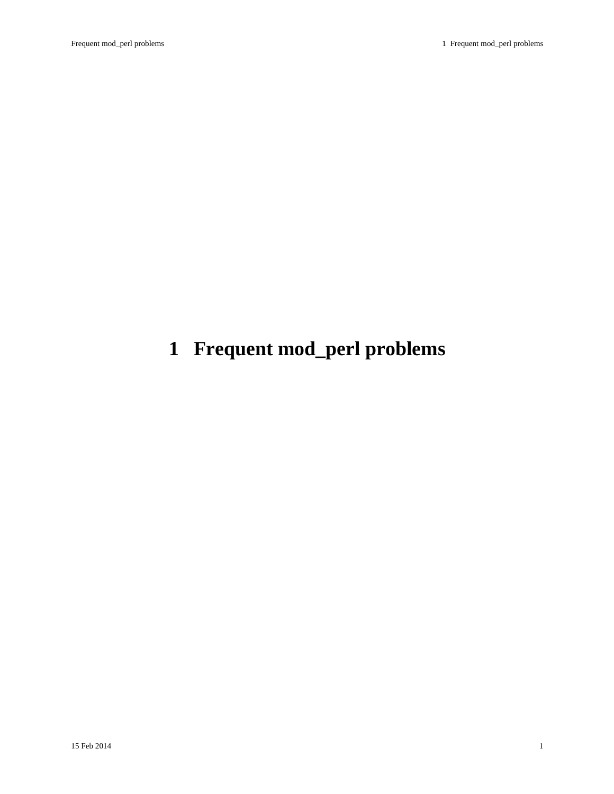# <span id="page-0-0"></span>**1 Frequent mod\_perl problems**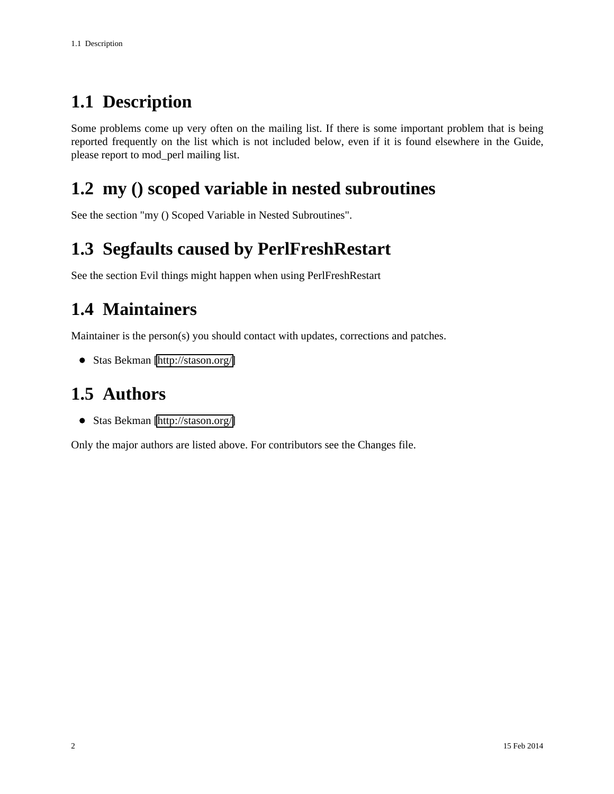### <span id="page-1-0"></span>**1.1 Description**

Some problems come up very often on the mailing list. If there is some important problem that is being reported frequently on the list which is not included below, even if it is found elsewhere in the Guide, please report to mod\_perl mailing list.

#### <span id="page-1-1"></span>**1.2 my () scoped variable in nested subroutines**

See the section "my () Scoped Variable in Nested Subroutines".

#### <span id="page-1-2"></span>**1.3 Segfaults caused by PerlFreshRestart**

See the section Evil things might happen when using PerlFreshRestart

#### <span id="page-1-3"></span>**1.4 Maintainers**

Maintainer is the person(s) you should contact with updates, corrections and patches.

Stas Bekman [\[http://stason.org/\]](http://stason.org/)

#### <span id="page-1-4"></span>**1.5 Authors**

Stas Bekman [\[http://stason.org/\]](http://stason.org/)

Only the major authors are listed above. For contributors see the Changes file.